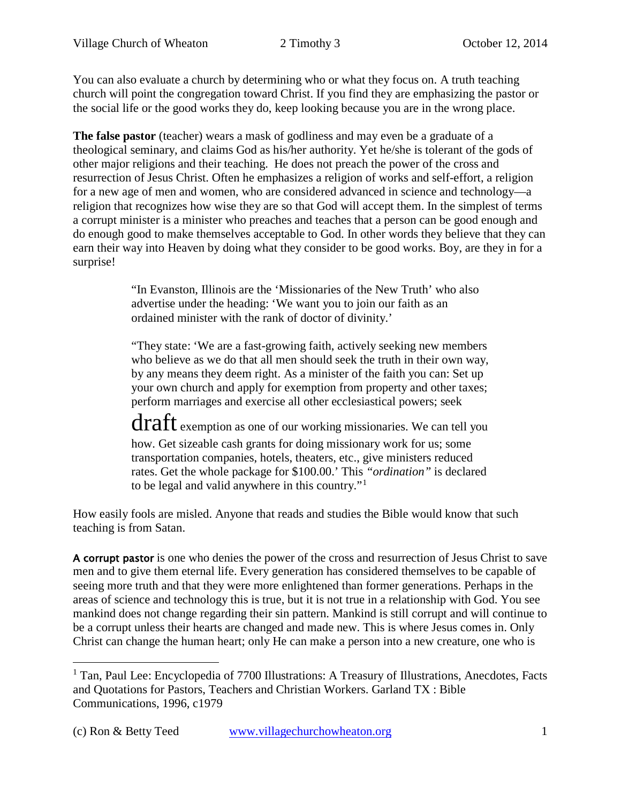You can also evaluate a church by determining who or what they focus on. A truth teaching church will point the congregation toward Christ. If you find they are emphasizing the pastor or the social life or the good works they do, keep looking because you are in the wrong place.

**The false pastor** (teacher) wears a mask of godliness and may even be a graduate of a theological seminary, and claims God as his/her authority. Yet he/she is tolerant of the gods of other major religions and their teaching. He does not preach the power of the cross and resurrection of Jesus Christ. Often he emphasizes a religion of works and self-effort, a religion for a new age of men and women, who are considered advanced in science and technology—a religion that recognizes how wise they are so that God will accept them. In the simplest of terms a corrupt minister is a minister who preaches and teaches that a person can be good enough and do enough good to make themselves acceptable to God. In other words they believe that they can earn their way into Heaven by doing what they consider to be good works. Boy, are they in for a surprise!

> "In Evanston, Illinois are the 'Missionaries of the New Truth' who also advertise under the heading: 'We want you to join our faith as an ordained minister with the rank of doctor of divinity.'

"They state: 'We are a fast-growing faith, actively seeking new members who believe as we do that all men should seek the truth in their own way, by any means they deem right. As a minister of the faith you can: Set up your own church and apply for exemption from property and other taxes; perform marriages and exercise all other ecclesiastical powers; seek

draft exemption as one of our working missionaries. We can tell you how. Get sizeable cash grants for doing missionary work for us; some transportation companies, hotels, theaters, etc., give ministers reduced rates. Get the whole package for \$100.00.' This *"ordination"* is declared to be legal and valid anywhere in this country."[1](#page-0-0)

How easily fools are misled. Anyone that reads and studies the Bible would know that such teaching is from Satan.

A corrupt pastor is one who denies the power of the cross and resurrection of Jesus Christ to save men and to give them eternal life. Every generation has considered themselves to be capable of seeing more truth and that they were more enlightened than former generations. Perhaps in the areas of science and technology this is true, but it is not true in a relationship with God. You see mankind does not change regarding their sin pattern. Mankind is still corrupt and will continue to be a corrupt unless their hearts are changed and made new. This is where Jesus comes in. Only Christ can change the human heart; only He can make a person into a new creature, one who is

<span id="page-0-0"></span><sup>&</sup>lt;sup>1</sup> Tan, Paul Lee: Encyclopedia of 7700 Illustrations: A Treasury of Illustrations, Anecdotes, Facts and Quotations for Pastors, Teachers and Christian Workers. Garland TX : Bible Communications, 1996, c1979  $\overline{a}$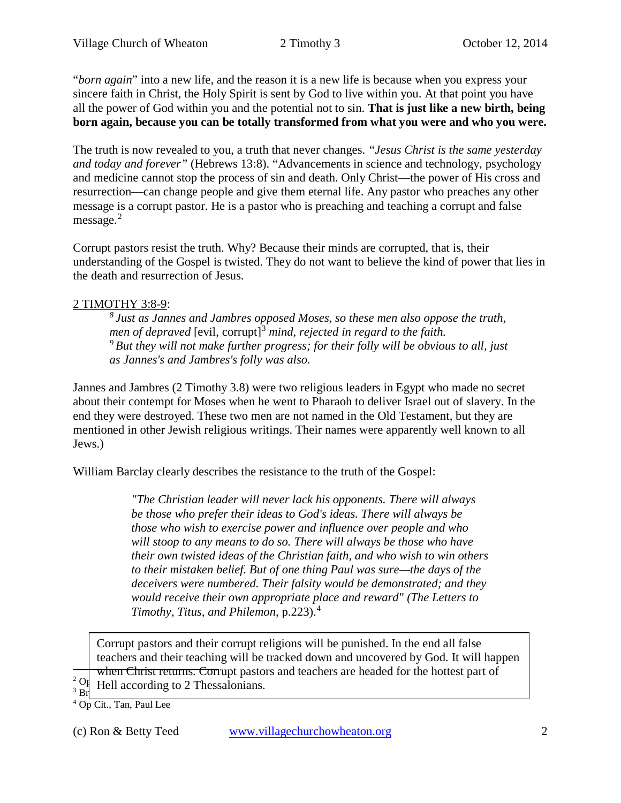"*born again*" into a new life, and the reason it is a new life is because when you express your sincere faith in Christ, the Holy Spirit is sent by God to live within you. At that point you have all the power of God within you and the potential not to sin. **That is just like a new birth, being born again, because you can be totally transformed from what you were and who you were.**

The truth is now revealed to you, a truth that never changes. *"Jesus Christ is the same yesterday and today and forever"* (Hebrews 13:8). "Advancements in science and technology, psychology and medicine cannot stop the process of sin and death. Only Christ—the power of His cross and resurrection—can change people and give them eternal life. Any pastor who preaches any other message is a corrupt pastor. He is a pastor who is preaching and teaching a corrupt and false message. $2$ 

Corrupt pastors resist the truth. Why? Because their minds are corrupted, that is, their understanding of the Gospel is twisted. They do not want to believe the kind of power that lies in the death and resurrection of Jesus.

# 2 TIMOTHY 3:8-9:

*8 Just as Jannes and Jambres opposed Moses, so these men also oppose the truth, men of depraved* [evil, corrupt]<sup>[3](#page-1-1)</sup> *mind, rejected in regard to the faith. 9 But they will not make further progress; for their folly will be obvious to all, just as Jannes's and Jambres's folly was also.*

Jannes and Jambres (2 Timothy 3.8) were two religious leaders in Egypt who made no secret about their contempt for Moses when he went to Pharaoh to deliver Israel out of slavery. In the end they were destroyed. These two men are not named in the Old Testament, but they are mentioned in other Jewish religious writings. Their names were apparently well known to all Jews.)

William Barclay clearly describes the resistance to the truth of the Gospel:

*"The Christian leader will never lack his opponents. There will always be those who prefer their ideas to God's ideas. There will always be those who wish to exercise power and influence over people and who will stoop to any means to do so. There will always be those who have their own twisted ideas of the Christian faith, and who wish to win others to their mistaken belief. But of one thing Paul was sure—the days of the deceivers were numbered. Their falsity would be demonstrated; and they would receive their own appropriate place and reward" (The Letters to Timothy, Titus, and Philemon*, p.223).[4](#page-1-2)

Corrupt pastors and their corrupt religions will be punished. In the end all false teachers and their teaching will be tracked down and uncovered by God. It will happen when Christ returns. Corrupt pastors and teachers are headed for the hottest part of

<span id="page-1-0"></span> $2^2$  O<sub>p</sub> Hell according to 2 Thessalonians  $\frac{1}{3}$  Br<sub>acket</sub> Hell according to 2 Thessalonians.

 $\overline{a}$ 

<span id="page-1-2"></span><span id="page-1-1"></span><sup>4</sup> Op Cit., Tan, Paul Lee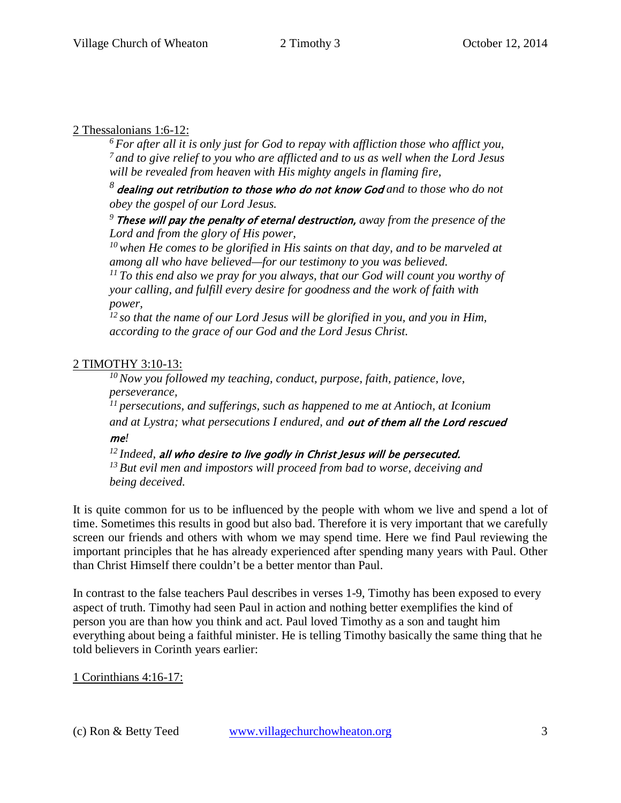### 2 Thessalonians 1:6-12:

*6 For after all it is only just for God to repay with affliction those who afflict you, 7 and to give relief to you who are afflicted and to us as well when the Lord Jesus will be revealed from heaven with His mighty angels in flaming fire,*

*<sup>8</sup>*dealing out retribution to those who do not know God *and to those who do not obey the gospel of our Lord Jesus.*

*<sup>9</sup>*These will pay the penalty of eternal destruction, *away from the presence of the Lord and from the glory of His power,* 

*10 when He comes to be glorified in His saints on that day, and to be marveled at among all who have believed—for our testimony to you was believed.* 

*11 To this end also we pray for you always, that our God will count you worthy of your calling, and fulfill every desire for goodness and the work of faith with power,* 

*12 so that the name of our Lord Jesus will be glorified in you, and you in Him, according to the grace of our God and the Lord Jesus Christ.*

## 2 TIMOTHY 3:10-13:

*10 Now you followed my teaching, conduct, purpose, faith, patience, love, perseverance,* 

*11 persecutions, and sufferings, such as happened to me at Antioch, at Iconium and at Lystra; what persecutions I endured, and* out of them all the Lord rescued me*!*

*12 Indeed,* all who desire to live godly in Christ Jesus will be persecuted. *13 But evil men and impostors will proceed from bad to worse, deceiving and being deceived.*

It is quite common for us to be influenced by the people with whom we live and spend a lot of time. Sometimes this results in good but also bad. Therefore it is very important that we carefully screen our friends and others with whom we may spend time. Here we find Paul reviewing the important principles that he has already experienced after spending many years with Paul. Other than Christ Himself there couldn't be a better mentor than Paul.

In contrast to the false teachers Paul describes in verses 1-9, Timothy has been exposed to every aspect of truth. Timothy had seen Paul in action and nothing better exemplifies the kind of person you are than how you think and act. Paul loved Timothy as a son and taught him everything about being a faithful minister. He is telling Timothy basically the same thing that he told believers in Corinth years earlier:

1 Corinthians 4:16-17: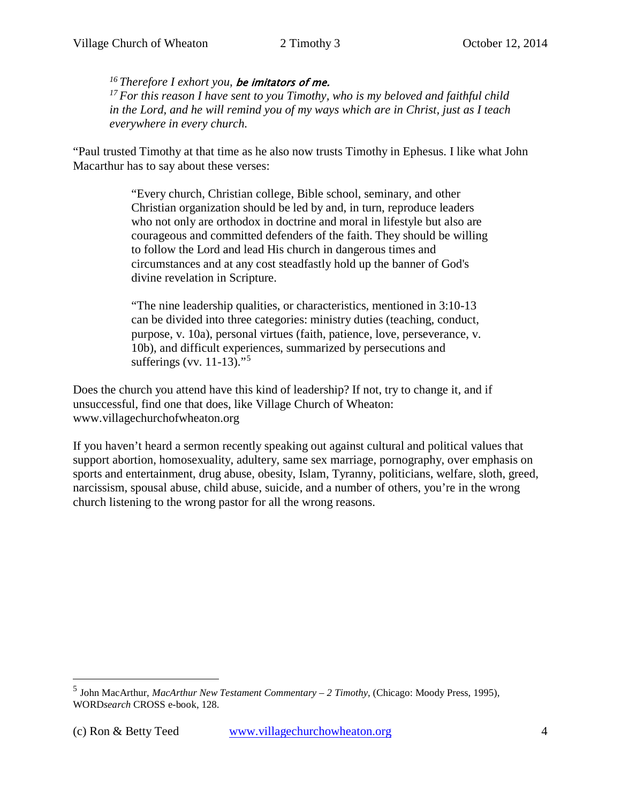*16 Therefore I exhort you,* be imitators of me.

*17 For this reason I have sent to you Timothy, who is my beloved and faithful child in the Lord, and he will remind you of my ways which are in Christ, just as I teach everywhere in every church.*

"Paul trusted Timothy at that time as he also now trusts Timothy in Ephesus. I like what John Macarthur has to say about these verses:

> "Every church, Christian college, Bible school, seminary, and other Christian organization should be led by and, in turn, reproduce leaders who not only are orthodox in doctrine and moral in lifestyle but also are courageous and committed defenders of the faith. They should be willing to follow the Lord and lead His church in dangerous times and circumstances and at any cost steadfastly hold up the banner of God's divine revelation in Scripture.

"The nine leadership qualities, or characteristics, mentioned in [3:10-13](http://www.crossbooks.com/verse.asp?ref=2Ti+3%3A10-13) can be divided into three categories: ministry duties (teaching, conduct, purpose, [v. 10a\)](http://www.crossbooks.com/verse.asp?ref=2Ti+3%3A10), personal virtues (faith, patience, love, perseverance, [v.](http://www.crossbooks.com/verse.asp?ref=2Ti+3%3A10)  [10b\)](http://www.crossbooks.com/verse.asp?ref=2Ti+3%3A10), and difficult experiences, summarized by persecutions and sufferings [\(vv. 11-13\)](http://www.crossbooks.com/verse.asp?ref=2Ti+3%3A11-13)."<sup>[5](#page-3-0)</sup>

Does the church you attend have this kind of leadership? If not, try to change it, and if unsuccessful, find one that does, like Village Church of Wheaton: www.villagechurchofwheaton.org

If you haven't heard a sermon recently speaking out against cultural and political values that support abortion, homosexuality, adultery, same sex marriage, pornography, over emphasis on sports and entertainment, drug abuse, obesity, Islam, Tyranny, politicians, welfare, sloth, greed, narcissism, spousal abuse, child abuse, suicide, and a number of others, you're in the wrong church listening to the wrong pastor for all the wrong reasons.

 $\overline{a}$ 

<span id="page-3-0"></span><sup>5</sup> John MacArthur, *MacArthur New Testament Commentary – 2 Timothy*, (Chicago: Moody Press, 1995), WORD*search* CROSS e-book, 128.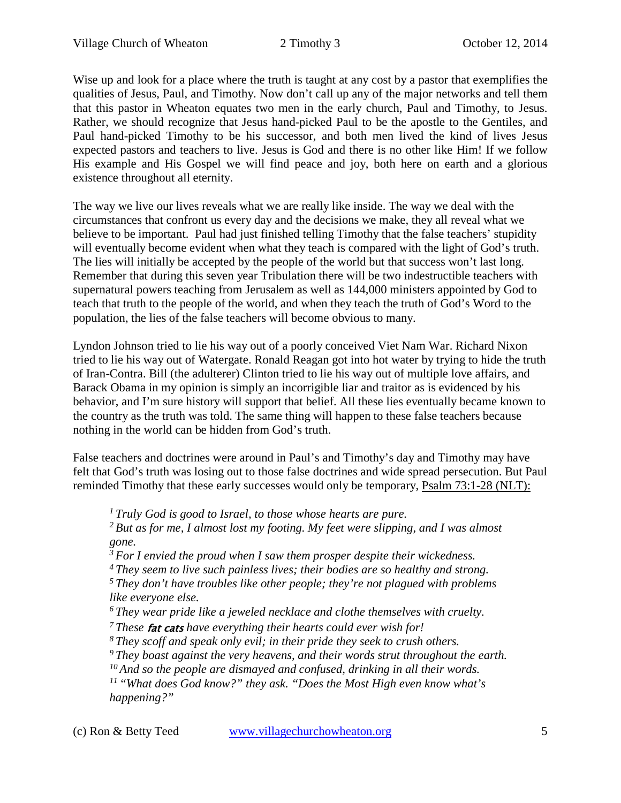Wise up and look for a place where the truth is taught at any cost by a pastor that exemplifies the qualities of Jesus, Paul, and Timothy. Now don't call up any of the major networks and tell them that this pastor in Wheaton equates two men in the early church, Paul and Timothy, to Jesus. Rather, we should recognize that Jesus hand-picked Paul to be the apostle to the Gentiles, and Paul hand-picked Timothy to be his successor, and both men lived the kind of lives Jesus expected pastors and teachers to live. Jesus is God and there is no other like Him! If we follow His example and His Gospel we will find peace and joy, both here on earth and a glorious existence throughout all eternity.

The way we live our lives reveals what we are really like inside. The way we deal with the circumstances that confront us every day and the decisions we make, they all reveal what we believe to be important. Paul had just finished telling Timothy that the false teachers' stupidity will eventually become evident when what they teach is compared with the light of God's truth. The lies will initially be accepted by the people of the world but that success won't last long. Remember that during this seven year Tribulation there will be two indestructible teachers with supernatural powers teaching from Jerusalem as well as 144,000 ministers appointed by God to teach that truth to the people of the world, and when they teach the truth of God's Word to the population, the lies of the false teachers will become obvious to many.

Lyndon Johnson tried to lie his way out of a poorly conceived Viet Nam War. Richard Nixon tried to lie his way out of Watergate. Ronald Reagan got into hot water by trying to hide the truth of Iran-Contra. Bill (the adulterer) Clinton tried to lie his way out of multiple love affairs, and Barack Obama in my opinion is simply an incorrigible liar and traitor as is evidenced by his behavior, and I'm sure history will support that belief. All these lies eventually became known to the country as the truth was told. The same thing will happen to these false teachers because nothing in the world can be hidden from God's truth.

False teachers and doctrines were around in Paul's and Timothy's day and Timothy may have felt that God's truth was losing out to those false doctrines and wide spread persecution. But Paul reminded Timothy that these early successes would only be temporary, Psalm 73:1-28 (NLT):

*1 Truly God is good to Israel, to those whose hearts are pure.* 

*2 But as for me, I almost lost my footing. My feet were slipping, and I was almost gone.* 

*3 For I envied the proud when I saw them prosper despite their wickedness.* 

*4 They seem to live such painless lives; their bodies are so healthy and strong.* 

*5 They don't have troubles like other people; they're not plagued with problems like everyone else.* 

*6 They wear pride like a jeweled necklace and clothe themselves with cruelty.* 

*7 These* fat cats *have everything their hearts could ever wish for!* 

*8 They scoff and speak only evil; in their pride they seek to crush others.* 

*9 They boast against the very heavens, and their words strut throughout the earth.* 

*10 And so the people are dismayed and confused, drinking in all their words.* 

*11 "What does God know?" they ask. "Does the Most High even know what's happening?"* 

(c) Ron & Betty Teed [www.villagechurchowheaton.org](http://www.villagechurchowheaton.org/) 5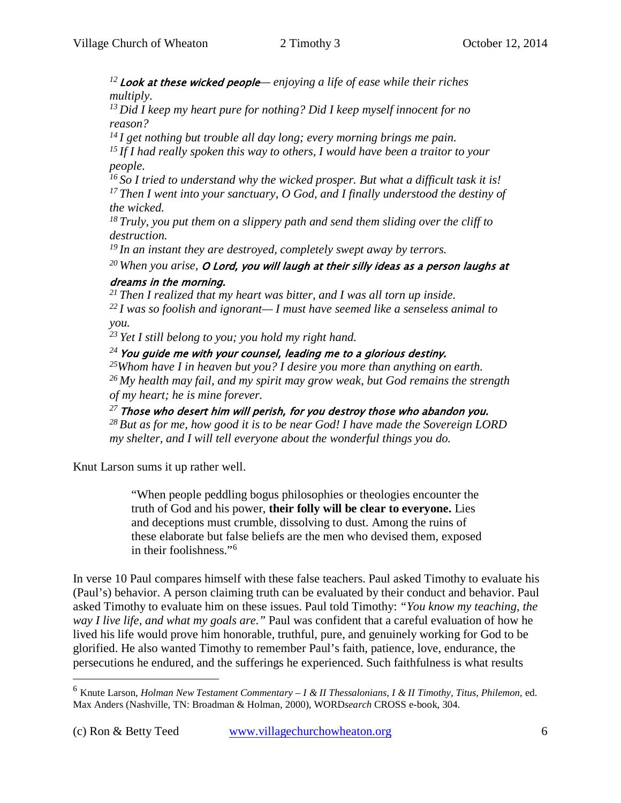*<sup>12</sup>*Look at these wicked people*— enjoying a life of ease while their riches multiply.* 

*13 Did I keep my heart pure for nothing? Did I keep myself innocent for no reason?* 

*14 I get nothing but trouble all day long; every morning brings me pain.* 

*15 If I had really spoken this way to others, I would have been a traitor to your people.* 

*16 So I tried to understand why the wicked prosper. But what a difficult task it is! 17 Then I went into your sanctuary, O God, and I finally understood the destiny of the wicked.* 

*18 Truly, you put them on a slippery path and send them sliding over the cliff to destruction.* 

*19 In an instant they are destroyed, completely swept away by terrors.* 

*20 When you arise,* O Lord, you will laugh at their silly ideas as a person laughs at dreams in the morning.

*21 Then I realized that my heart was bitter, and I was all torn up inside.* 

*22 I was so foolish and ignorant— I must have seemed like a senseless animal to you.* 

*23 Yet I still belong to you; you hold my right hand.* 

<sup>24</sup> You guide me with your counsel, leading me to a glorious destiny.

*25Whom have I in heaven but you? I desire you more than anything on earth. 26 My health may fail, and my spirit may grow weak, but God remains the strength of my heart; he is mine forever.* 

*<sup>27</sup>*Those who desert him will perish, for you destroy those who abandon you.

*28 But as for me, how good it is to be near God! I have made the Sovereign LORD my shelter, and I will tell everyone about the wonderful things you do.* 

Knut Larson sums it up rather well.

"When people peddling bogus philosophies or theologies encounter the truth of God and his power, **their folly will be clear to everyone.** Lies and deceptions must crumble, dissolving to dust. Among the ruins of these elaborate but false beliefs are the men who devised them, exposed in their foolishness."[6](#page-5-0)

In verse 10 Paul compares himself with these false teachers. Paul asked Timothy to evaluate his (Paul's) behavior. A person claiming truth can be evaluated by their conduct and behavior. Paul asked Timothy to evaluate him on these issues. Paul told Timothy: *"You know my teaching, the way I live life, and what my goals are."* Paul was confident that a careful evaluation of how he lived his life would prove him honorable, truthful, pure, and genuinely working for God to be glorified. He also wanted Timothy to remember Paul's faith, patience, love, endurance, the persecutions he endured, and the sufferings he experienced. Such faithfulness is what results

 $\overline{a}$ 

<span id="page-5-0"></span><sup>6</sup> Knute Larson, *Holman New Testament Commentary – I & II Thessalonians, I & II Timothy, Titus, Philemon*, ed. Max Anders (Nashville, TN: Broadman & Holman, 2000), WORD*search* CROSS e-book, 304.